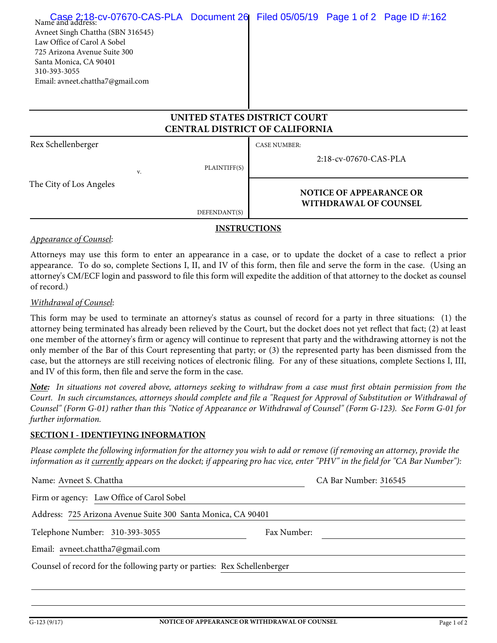| Case 2:18-cv-07670-CAS-PLA Document 26 Filed 05/05/19 Page 1 of 2 Page ID #:162<br>Avneet Singh Chattha (SBN 316545)<br>Law Office of Carol A Sobel<br>725 Arizona Avenue Suite 300<br>Santa Monica, CA 90401<br>310-393-3055<br>Email: avneet.chattha7@gmail.com |                     |                     |                                                                |  |
|-------------------------------------------------------------------------------------------------------------------------------------------------------------------------------------------------------------------------------------------------------------------|---------------------|---------------------|----------------------------------------------------------------|--|
| UNITED STATES DISTRICT COURT<br><b>CENTRAL DISTRICT OF CALIFORNIA</b>                                                                                                                                                                                             |                     |                     |                                                                |  |
| Rex Schellenberger<br>v.                                                                                                                                                                                                                                          | PLAINTIFF(S)        | <b>CASE NUMBER:</b> | 2:18-cv-07670-CAS-PLA                                          |  |
| The City of Los Angeles                                                                                                                                                                                                                                           | DEFENDANT(S)        |                     | <b>NOTICE OF APPEARANCE OR</b><br><b>WITHDRAWAL OF COUNSEL</b> |  |
|                                                                                                                                                                                                                                                                   | <b>INSTRUCTIONS</b> |                     |                                                                |  |

### *Appearance of Counsel*:

Attorneys may use this form to enter an appearance in a case, or to update the docket of a case to reflect a prior appearance. To do so, complete Sections I, II, and IV of this form, then file and serve the form in the case. (Using an attorney's CM/ECF login and password to file this form will expedite the addition of that attorney to the docket as counsel of record.)

#### *Withdrawal of Counsel*:

This form may be used to terminate an attorney's status as counsel of record for a party in three situations: (1) the attorney being terminated has already been relieved by the Court, but the docket does not yet reflect that fact; (2) at least one member of the attorney's firm or agency will continue to represent that party and the withdrawing attorney is not the only member of the Bar of this Court representing that party; or (3) the represented party has been dismissed from the case, but the attorneys are still receiving notices of electronic filing. For any of these situations, complete Sections I, III, and IV of this form, then file and serve the form in the case.

*Note: In situations not covered above, attorneys seeking to withdraw from a case must first obtain permission from the Court. In such circumstances, attorneys should complete and file a "Request for Approval of Substitution or Withdrawal of Counsel" (Form G-01) rather than this "Notice of Appearance or Withdrawal of Counsel" (Form G-123). See Form G-01 for further information.*

### **SECTION I - IDENTIFYING INFORMATION**

*Please complete the following information for the attorney you wish to add or remove (if removing an attorney, provide the information as it currently appears on the docket; if appearing pro hac vice, enter "PHV" in the field for "CA Bar Number"):*

| Name: Avneet S. Chattha                                                  | CA Bar Number: 316545 |  |  |  |
|--------------------------------------------------------------------------|-----------------------|--|--|--|
| Firm or agency: Law Office of Carol Sobel                                |                       |  |  |  |
| Address: 725 Arizona Avenue Suite 300 Santa Monica, CA 90401             |                       |  |  |  |
| Telephone Number: 310-393-3055                                           | Fax Number:           |  |  |  |
| Email: avneet.chattha7@gmail.com                                         |                       |  |  |  |
| Counsel of record for the following party or parties: Rex Schellenberger |                       |  |  |  |